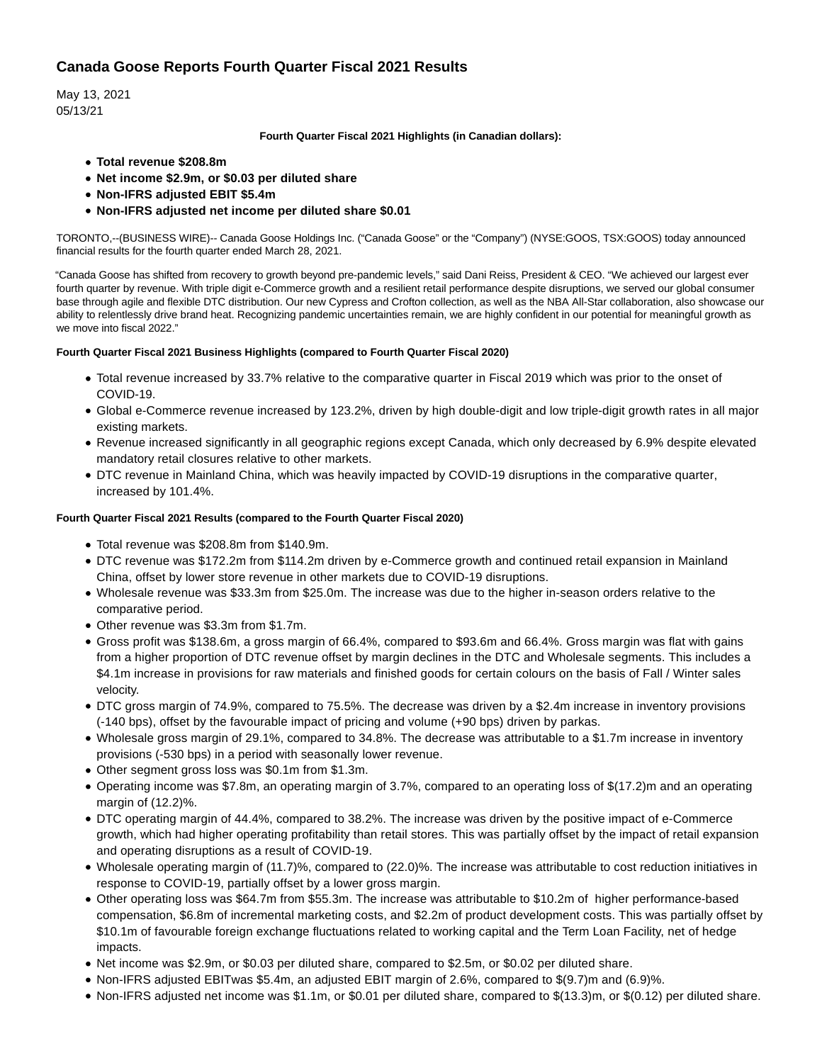# **Canada Goose Reports Fourth Quarter Fiscal 2021 Results**

May 13, 2021 05/13/21

# **Fourth Quarter Fiscal 2021 Highlights (in Canadian dollars):**

- **Total revenue \$208.8m**
- **Net income \$2.9m, or \$0.03 per diluted share**
- **Non-IFRS adjusted EBIT \$5.4m**
- **Non-IFRS adjusted net income per diluted share \$0.01**

TORONTO,--(BUSINESS WIRE)-- Canada Goose Holdings Inc. ("Canada Goose" or the "Company") (NYSE:GOOS, TSX:GOOS) today announced financial results for the fourth quarter ended March 28, 2021.

"Canada Goose has shifted from recovery to growth beyond pre-pandemic levels," said Dani Reiss, President & CEO. "We achieved our largest ever fourth quarter by revenue. With triple digit e-Commerce growth and a resilient retail performance despite disruptions, we served our global consumer base through agile and flexible DTC distribution. Our new Cypress and Crofton collection, as well as the NBA All-Star collaboration, also showcase our ability to relentlessly drive brand heat. Recognizing pandemic uncertainties remain, we are highly confident in our potential for meaningful growth as we move into fiscal 2022."

# **Fourth Quarter Fiscal 2021 Business Highlights (compared to Fourth Quarter Fiscal 2020)**

- Total revenue increased by 33.7% relative to the comparative quarter in Fiscal 2019 which was prior to the onset of COVID-19.
- Global e-Commerce revenue increased by 123.2%, driven by high double-digit and low triple-digit growth rates in all major existing markets.
- Revenue increased significantly in all geographic regions except Canada, which only decreased by 6.9% despite elevated mandatory retail closures relative to other markets.
- DTC revenue in Mainland China, which was heavily impacted by COVID-19 disruptions in the comparative quarter, increased by 101.4%.

# **Fourth Quarter Fiscal 2021 Results (compared to the Fourth Quarter Fiscal 2020)**

- Total revenue was \$208.8m from \$140.9m.
- DTC revenue was \$172.2m from \$114.2m driven by e-Commerce growth and continued retail expansion in Mainland China, offset by lower store revenue in other markets due to COVID-19 disruptions.
- Wholesale revenue was \$33.3m from \$25.0m. The increase was due to the higher in-season orders relative to the comparative period.
- Other revenue was \$3.3m from \$1.7m.
- Gross profit was \$138.6m, a gross margin of 66.4%, compared to \$93.6m and 66.4%. Gross margin was flat with gains from a higher proportion of DTC revenue offset by margin declines in the DTC and Wholesale segments. This includes a \$4.1m increase in provisions for raw materials and finished goods for certain colours on the basis of Fall / Winter sales velocity.
- DTC gross margin of 74.9%, compared to 75.5%. The decrease was driven by a \$2.4m increase in inventory provisions (-140 bps), offset by the favourable impact of pricing and volume (+90 bps) driven by parkas.
- Wholesale gross margin of 29.1%, compared to 34.8%. The decrease was attributable to a \$1.7m increase in inventory provisions (-530 bps) in a period with seasonally lower revenue.
- Other segment gross loss was \$0.1m from \$1.3m.
- Operating income was \$7.8m, an operating margin of 3.7%, compared to an operating loss of \$(17.2)m and an operating margin of (12.2)%.
- DTC operating margin of 44.4%, compared to 38.2%. The increase was driven by the positive impact of e-Commerce growth, which had higher operating profitability than retail stores. This was partially offset by the impact of retail expansion and operating disruptions as a result of COVID-19.
- Wholesale operating margin of (11.7)%, compared to (22.0)%. The increase was attributable to cost reduction initiatives in response to COVID-19, partially offset by a lower gross margin.
- Other operating loss was \$64.7m from \$55.3m. The increase was attributable to \$10.2m of higher performance-based compensation, \$6.8m of incremental marketing costs, and \$2.2m of product development costs. This was partially offset by \$10.1m of favourable foreign exchange fluctuations related to working capital and the Term Loan Facility, net of hedge impacts.
- Net income was \$2.9m, or \$0.03 per diluted share, compared to \$2.5m, or \$0.02 per diluted share.
- Non-IFRS adjusted EBITwas \$5.4m, an adjusted EBIT margin of 2.6%, compared to \$(9.7)m and (6.9)%.
- Non-IFRS adjusted net income was \$1.1m, or \$0.01 per diluted share, compared to \$(13.3)m, or \$(0.12) per diluted share.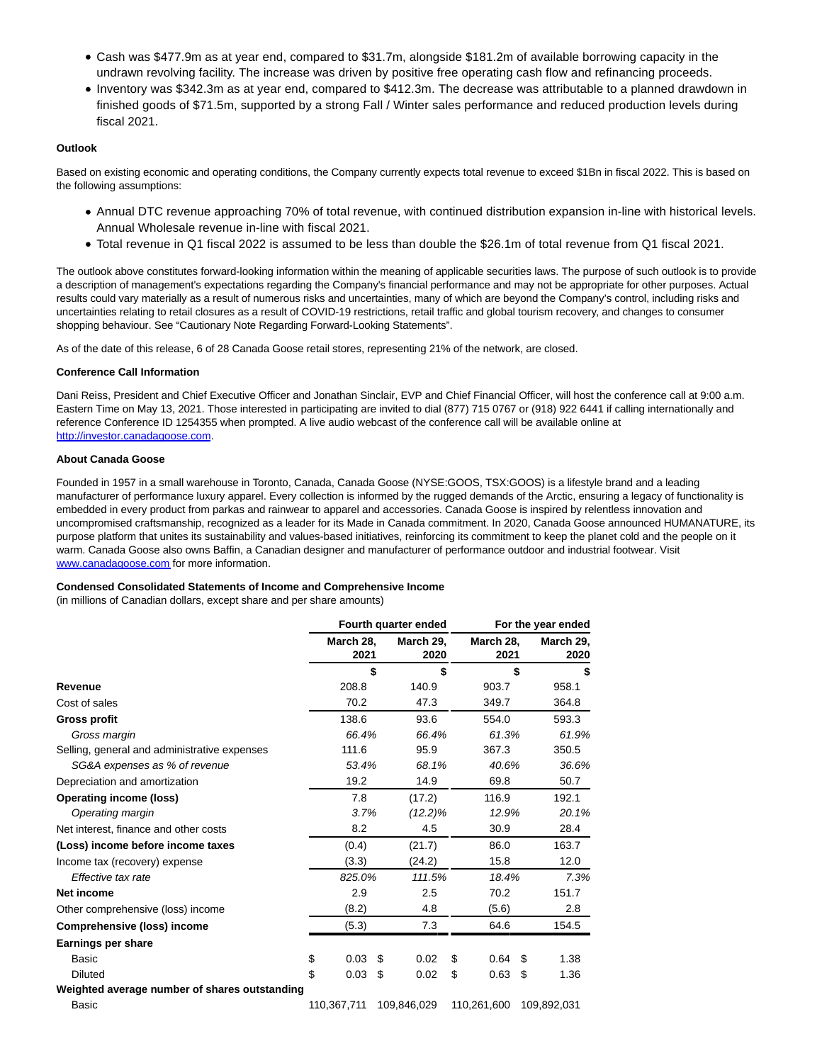- Cash was \$477.9m as at year end, compared to \$31.7m, alongside \$181.2m of available borrowing capacity in the undrawn revolving facility. The increase was driven by positive free operating cash flow and refinancing proceeds.
- Inventory was \$342.3m as at year end, compared to \$412.3m. The decrease was attributable to a planned drawdown in finished goods of \$71.5m, supported by a strong Fall / Winter sales performance and reduced production levels during fiscal 2021.

## **Outlook**

Based on existing economic and operating conditions, the Company currently expects total revenue to exceed \$1Bn in fiscal 2022. This is based on the following assumptions:

- Annual DTC revenue approaching 70% of total revenue, with continued distribution expansion in-line with historical levels. Annual Wholesale revenue in-line with fiscal 2021.
- Total revenue in Q1 fiscal 2022 is assumed to be less than double the \$26.1m of total revenue from Q1 fiscal 2021.

The outlook above constitutes forward-looking information within the meaning of applicable securities laws. The purpose of such outlook is to provide a description of management's expectations regarding the Company's financial performance and may not be appropriate for other purposes. Actual results could vary materially as a result of numerous risks and uncertainties, many of which are beyond the Company's control, including risks and uncertainties relating to retail closures as a result of COVID-19 restrictions, retail traffic and global tourism recovery, and changes to consumer shopping behaviour. See "Cautionary Note Regarding Forward-Looking Statements".

As of the date of this release, 6 of 28 Canada Goose retail stores, representing 21% of the network, are closed.

## **Conference Call Information**

Dani Reiss, President and Chief Executive Officer and Jonathan Sinclair, EVP and Chief Financial Officer, will host the conference call at 9:00 a.m. Eastern Time on May 13, 2021. Those interested in participating are invited to dial (877) 715 0767 or (918) 922 6441 if calling internationally and reference Conference ID 1254355 when prompted. A live audio webcast of the conference call will be available online at [http://investor.canadagoose.com.](https://cts.businesswire.com/ct/CT?id=smartlink&url=http%3A%2F%2Finvestor.canadagoose.com&esheet=52428947&newsitemid=20210513005360&lan=en-US&anchor=http%3A%2F%2Finvestor.canadagoose.com&index=1&md5=977e039c30e33673e9a67abe883c2542)

#### **About Canada Goose**

Founded in 1957 in a small warehouse in Toronto, Canada, Canada Goose (NYSE:GOOS, TSX:GOOS) is a lifestyle brand and a leading manufacturer of performance luxury apparel. Every collection is informed by the rugged demands of the Arctic, ensuring a legacy of functionality is embedded in every product from parkas and rainwear to apparel and accessories. Canada Goose is inspired by relentless innovation and uncompromised craftsmanship, recognized as a leader for its Made in Canada commitment. In 2020, Canada Goose announced HUMANATURE, its purpose platform that unites its sustainability and values-based initiatives, reinforcing its commitment to keep the planet cold and the people on it warm. Canada Goose also owns Baffin, a Canadian designer and manufacturer of performance outdoor and industrial footwear. Visit [www.canadagoose.com f](https://cts.businesswire.com/ct/CT?id=smartlink&url=http%3A%2F%2Fwww.canadagoose.com&esheet=52428947&newsitemid=20210513005360&lan=en-US&anchor=www.canadagoose.com&index=2&md5=d7a79c9fb999c68a67c7df7add8d604b)or more information.

## **Condensed Consolidated Statements of Income and Comprehensive Income**

(in millions of Canadian dollars, except share and per share amounts)

|                                               | Fourth quarter ended |                   |    | For the year ended |                   |    |                   |
|-----------------------------------------------|----------------------|-------------------|----|--------------------|-------------------|----|-------------------|
|                                               |                      | March 28,<br>2021 |    | March 29,<br>2020  | March 28,<br>2021 |    | March 29,<br>2020 |
|                                               |                      |                   | \$ | \$                 |                   | \$ | \$                |
| Revenue                                       |                      | 208.8             |    | 140.9              | 903.7             |    | 958.1             |
| Cost of sales                                 |                      | 70.2              |    | 47.3               | 349.7             |    | 364.8             |
| <b>Gross profit</b>                           |                      | 138.6             |    | 93.6               | 554.0             |    | 593.3             |
| Gross margin                                  |                      | 66.4%             |    | 66.4%              | 61.3%             |    | 61.9%             |
| Selling, general and administrative expenses  |                      | 111.6             |    | 95.9               | 367.3             |    | 350.5             |
| SG&A expenses as % of revenue                 |                      | 53.4%             |    | 68.1%              | 40.6%             |    | 36.6%             |
| Depreciation and amortization                 |                      | 19.2              |    | 14.9               | 69.8              |    | 50.7              |
| <b>Operating income (loss)</b>                |                      | 7.8               |    | (17.2)             | 116.9             |    | 192.1             |
| Operating margin                              |                      | 3.7%              |    | $(12.2)\%$         | 12.9%             |    | 20.1%             |
| Net interest, finance and other costs         |                      | 8.2               |    | 4.5                | 30.9              |    | 28.4              |
| (Loss) income before income taxes             |                      | (0.4)             |    | (21.7)             | 86.0              |    | 163.7             |
| Income tax (recovery) expense                 |                      | (3.3)             |    | (24.2)             | 15.8              |    | 12.0              |
| Effective tax rate                            |                      | 825.0%            |    | 111.5%             | 18.4%             |    | 7.3%              |
| Net income                                    |                      | 2.9               |    | 2.5                | 70.2              |    | 151.7             |
| Other comprehensive (loss) income             |                      | (8.2)             |    | 4.8                | (5.6)             |    | 2.8               |
| <b>Comprehensive (loss) income</b>            |                      | (5.3)             |    | 7.3                | 64.6              |    | 154.5             |
| Earnings per share                            |                      |                   |    |                    |                   |    |                   |
| <b>Basic</b>                                  | \$                   | 0.03              | \$ | 0.02               | \$<br>0.64        | \$ | 1.38              |
| <b>Diluted</b>                                | \$                   | 0.03              | \$ | 0.02               | \$<br>0.63        | \$ | 1.36              |
| Weighted average number of shares outstanding |                      |                   |    |                    |                   |    |                   |
| Basic                                         |                      | 110,367,711       |    | 109,846,029        | 110,261,600       |    | 109,892,031       |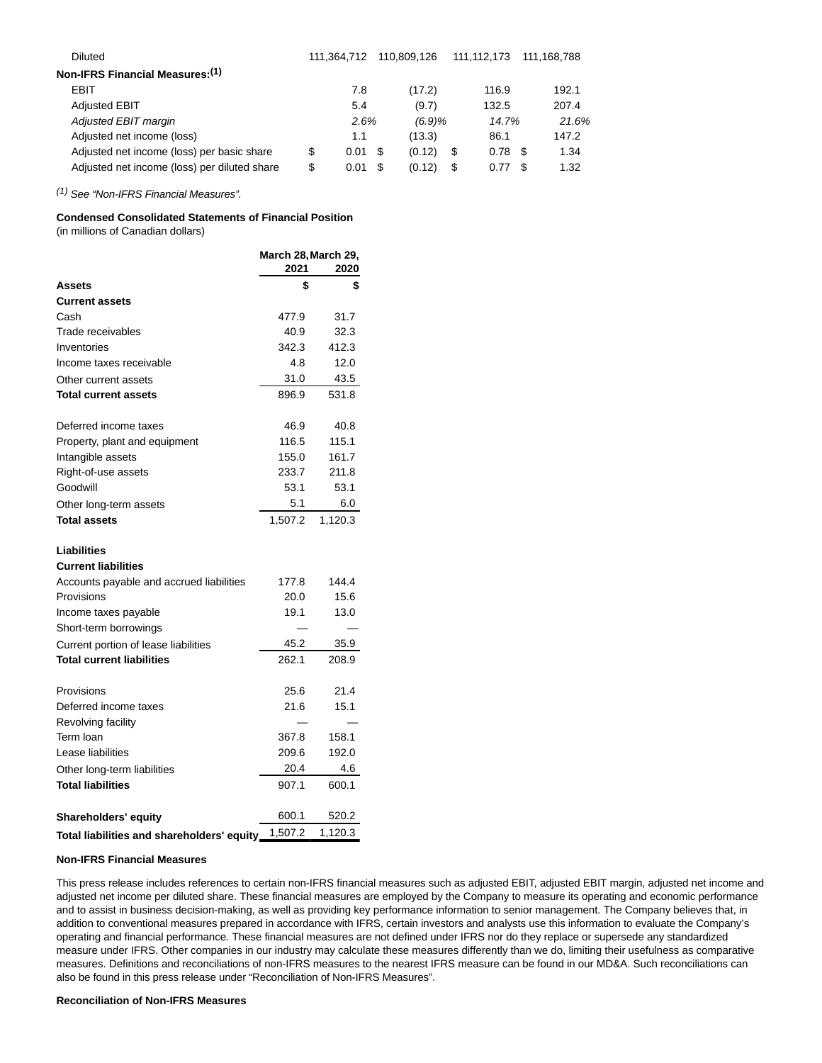| <b>Diluted</b>                               |    | 111.364.712 |      | 110.809.126 | 111.112.173 | 111.168.788  |
|----------------------------------------------|----|-------------|------|-------------|-------------|--------------|
| Non-IFRS Financial Measures: (1)             |    |             |      |             |             |              |
| EBIT                                         |    | 7.8         |      | (17.2)      | 116.9       | 192.1        |
| <b>Adjusted EBIT</b>                         |    | 5.4         |      | (9.7)       | 132.5       | 207.4        |
| Adjusted EBIT margin                         |    | 2.6%        |      | (6.9)%      | 14.7%       | 21.6%        |
| Adjusted net income (loss)                   |    | 1.1         |      | (13.3)      | 86.1        | 147.2        |
| Adjusted net income (loss) per basic share   | S  | 0.01        | - 35 | (0.12)      | \$<br>0.78  | 1.34<br>- \$ |
| Adjusted net income (loss) per diluted share | \$ | 0.01        | \$.  | (0.12)      | \$<br>0.77  | 1.32<br>- 35 |
|                                              |    |             |      |             |             |              |

(1) See "Non-IFRS Financial Measures".

# **Condensed Consolidated Statements of Financial Position**

(in millions of Canadian dollars)

|                                            | March 28, March 29, |         |  |  |
|--------------------------------------------|---------------------|---------|--|--|
|                                            | 2021                | 2020    |  |  |
| Assets                                     | \$                  | \$      |  |  |
| <b>Current assets</b>                      |                     |         |  |  |
| Cash                                       | 477.9               | 31.7    |  |  |
| Trade receivables                          | 40.9                | 32.3    |  |  |
| Inventories                                | 342.3               | 412.3   |  |  |
| Income taxes receivable                    | 4.8                 | 12.0    |  |  |
| Other current assets                       | 31.0                | 43.5    |  |  |
| <b>Total current assets</b>                | 896.9               | 531.8   |  |  |
| Deferred income taxes                      | 46.9                | 40.8    |  |  |
| Property, plant and equipment              | 116.5               | 115.1   |  |  |
| Intangible assets                          | 155.0               | 161.7   |  |  |
| Right-of-use assets                        | 233.7               | 211.8   |  |  |
| Goodwill                                   | 53.1                | 53.1    |  |  |
| Other long-term assets                     | 5.1                 | 6.0     |  |  |
| <b>Total assets</b>                        | 1.507.2             | 1.120.3 |  |  |
| Liabilities                                |                     |         |  |  |
| <b>Current liabilities</b>                 |                     |         |  |  |
| Accounts payable and accrued liabilities   | 177.8               | 144.4   |  |  |
| Provisions                                 | 20.0                | 15.6    |  |  |
| Income taxes payable                       | 19.1                | 13.0    |  |  |
| Short-term borrowings                      |                     |         |  |  |
| Current portion of lease liabilities       | 45.2                | 35.9    |  |  |
| <b>Total current liabilities</b>           | 262.1               | 208.9   |  |  |
| Provisions                                 | 25.6                | 21.4    |  |  |
| Deferred income taxes                      | 21.6                | 15.1    |  |  |
| Revolving facility                         |                     |         |  |  |
| Term Ioan                                  | 367.8               | 158.1   |  |  |
| Lease liabilities                          | 209.6               | 192.0   |  |  |
| Other long-term liabilities                | 20.4                | 4.6     |  |  |
| <b>Total liabilities</b>                   | 907.1               | 600.1   |  |  |
| <b>Shareholders' equity</b>                | 600.1               | 520.2   |  |  |
| Total liabilities and shareholders' equity | 1,507.2             | 1,120.3 |  |  |

#### **Non-IFRS Financial Measures**

This press release includes references to certain non-IFRS financial measures such as adjusted EBIT, adjusted EBIT margin, adjusted net income and adjusted net income per diluted share. These financial measures are employed by the Company to measure its operating and economic performance and to assist in business decision-making, as well as providing key performance information to senior management. The Company believes that, in addition to conventional measures prepared in accordance with IFRS, certain investors and analysts use this information to evaluate the Company's operating and financial performance. These financial measures are not defined under IFRS nor do they replace or supersede any standardized measure under IFRS. Other companies in our industry may calculate these measures differently than we do, limiting their usefulness as comparative measures. Definitions and reconciliations of non-IFRS measures to the nearest IFRS measure can be found in our MD&A. Such reconciliations can also be found in this press release under "Reconciliation of Non-IFRS Measures".

## **Reconciliation of Non-IFRS Measures**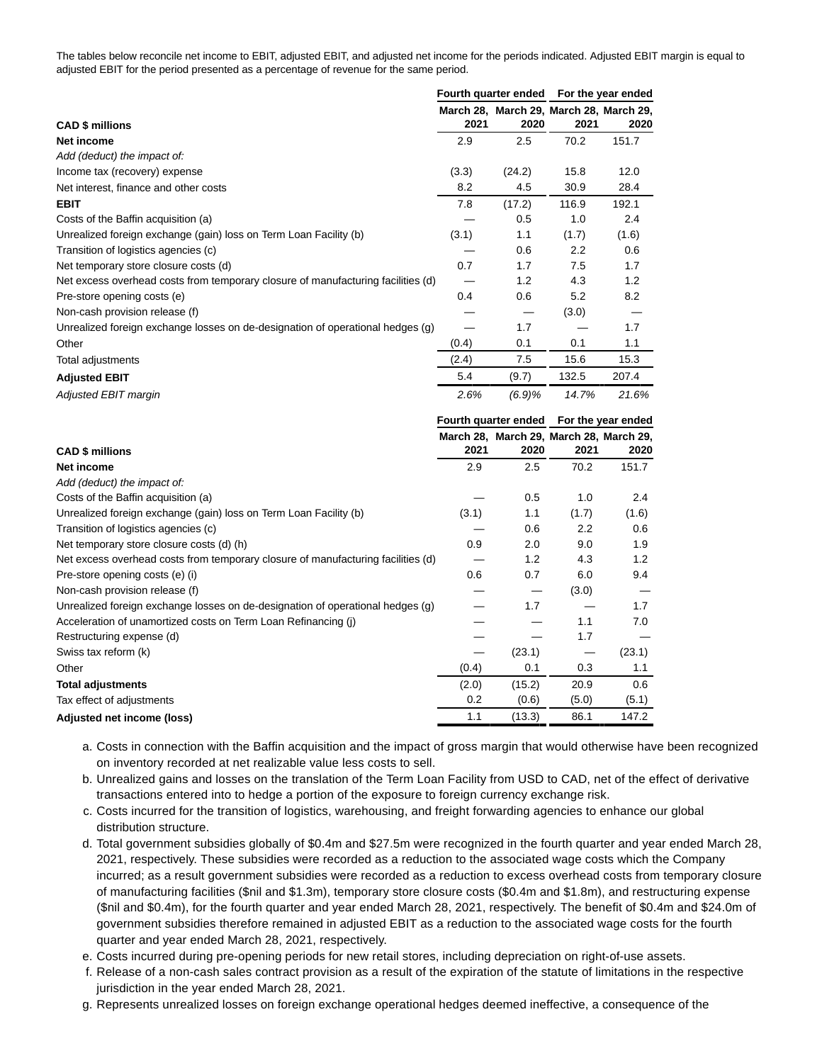The tables below reconcile net income to EBIT, adjusted EBIT, and adjusted net income for the periods indicated. Adjusted EBIT margin is equal to adjusted EBIT for the period presented as a percentage of revenue for the same period.

|                                                                                  | Fourth quarter ended |                                         | For the year ended |       |  |
|----------------------------------------------------------------------------------|----------------------|-----------------------------------------|--------------------|-------|--|
|                                                                                  |                      | March 28, March 29, March 28, March 29, |                    |       |  |
| <b>CAD \$ millions</b>                                                           | 2021                 | 2020                                    | 2021               | 2020  |  |
| Net income                                                                       | 2.9                  | 2.5                                     | 70.2               | 151.7 |  |
| Add (deduct) the impact of:                                                      |                      |                                         |                    |       |  |
| Income tax (recovery) expense                                                    | (3.3)                | (24.2)                                  | 15.8               | 12.0  |  |
| Net interest, finance and other costs                                            | 8.2                  | 4.5                                     | 30.9               | 28.4  |  |
| <b>EBIT</b>                                                                      | 7.8                  | (17.2)                                  | 116.9              | 192.1 |  |
| Costs of the Baffin acquisition (a)                                              |                      | 0.5                                     | 1.0                | 2.4   |  |
| Unrealized foreign exchange (gain) loss on Term Loan Facility (b)                | (3.1)                | 1.1                                     | (1.7)              | (1.6) |  |
| Transition of logistics agencies (c)                                             |                      | 0.6                                     | 2.2                | 0.6   |  |
| Net temporary store closure costs (d)                                            | 0.7                  | 1.7                                     | 7.5                | 1.7   |  |
| Net excess overhead costs from temporary closure of manufacturing facilities (d) |                      | 1.2                                     | 4.3                | 1.2   |  |
| Pre-store opening costs (e)                                                      | 0.4                  | 0.6                                     | 5.2                | 8.2   |  |
| Non-cash provision release (f)                                                   |                      |                                         | (3.0)              |       |  |
| Unrealized foreign exchange losses on de-designation of operational hedges (g)   |                      | 1.7                                     |                    | 1.7   |  |
| Other                                                                            | (0.4)                | 0.1                                     | 0.1                | 1.1   |  |
| Total adjustments                                                                | (2.4)                | 7.5                                     | 15.6               | 15.3  |  |
| <b>Adjusted EBIT</b>                                                             | 5.4                  | (9.7)                                   | 132.5              | 207.4 |  |
| Adjusted EBIT margin                                                             | 2.6%                 | (6.9)%                                  | 14.7%              | 21.6% |  |

|                                                                                  |       |        | Fourth quarter ended For the year ended |                                         |  |
|----------------------------------------------------------------------------------|-------|--------|-----------------------------------------|-----------------------------------------|--|
|                                                                                  |       |        |                                         | March 28, March 29, March 28, March 29, |  |
| <b>CAD \$ millions</b>                                                           | 2021  | 2020   | 2021                                    | 2020                                    |  |
| Net income                                                                       | 2.9   | 2.5    | 70.2                                    | 151.7                                   |  |
| Add (deduct) the impact of:                                                      |       |        |                                         |                                         |  |
| Costs of the Baffin acquisition (a)                                              |       | 0.5    | 1.0                                     | 2.4                                     |  |
| Unrealized foreign exchange (gain) loss on Term Loan Facility (b)                | (3.1) | 1.1    | (1.7)                                   | (1.6)                                   |  |
| Transition of logistics agencies (c)                                             |       | 0.6    | 2.2                                     | 0.6                                     |  |
| Net temporary store closure costs (d) (h)                                        | 0.9   | 2.0    | 9.0                                     | 1.9                                     |  |
| Net excess overhead costs from temporary closure of manufacturing facilities (d) |       | 1.2    | 4.3                                     | 1.2                                     |  |
| Pre-store opening costs (e) (i)                                                  | 0.6   | 0.7    | 6.0                                     | 9.4                                     |  |
| Non-cash provision release (f)                                                   |       |        | (3.0)                                   |                                         |  |
| Unrealized foreign exchange losses on de-designation of operational hedges (g)   |       | 1.7    |                                         | 1.7                                     |  |
| Acceleration of unamortized costs on Term Loan Refinancing (j)                   |       |        | 1.1                                     | 7.0                                     |  |
| Restructuring expense (d)                                                        |       |        | 1.7                                     |                                         |  |
| Swiss tax reform (k)                                                             |       | (23.1) |                                         | (23.1)                                  |  |
| Other                                                                            | (0.4) | 0.1    | 0.3                                     | 1.1                                     |  |
| <b>Total adjustments</b>                                                         | (2.0) | (15.2) | 20.9                                    | 0.6                                     |  |
| Tax effect of adjustments                                                        | 0.2   | (0.6)  | (5.0)                                   | (5.1)                                   |  |
| Adjusted net income (loss)                                                       | 1.1   | (13.3) | 86.1                                    | 147.2                                   |  |

- a. Costs in connection with the Baffin acquisition and the impact of gross margin that would otherwise have been recognized on inventory recorded at net realizable value less costs to sell.
- b. Unrealized gains and losses on the translation of the Term Loan Facility from USD to CAD, net of the effect of derivative transactions entered into to hedge a portion of the exposure to foreign currency exchange risk.
- c. Costs incurred for the transition of logistics, warehousing, and freight forwarding agencies to enhance our global distribution structure.
- d. Total government subsidies globally of \$0.4m and \$27.5m were recognized in the fourth quarter and year ended March 28, 2021, respectively. These subsidies were recorded as a reduction to the associated wage costs which the Company incurred; as a result government subsidies were recorded as a reduction to excess overhead costs from temporary closure of manufacturing facilities (\$nil and \$1.3m), temporary store closure costs (\$0.4m and \$1.8m), and restructuring expense (\$nil and \$0.4m), for the fourth quarter and year ended March 28, 2021, respectively. The benefit of \$0.4m and \$24.0m of government subsidies therefore remained in adjusted EBIT as a reduction to the associated wage costs for the fourth quarter and year ended March 28, 2021, respectively.
- e. Costs incurred during pre-opening periods for new retail stores, including depreciation on right-of-use assets.
- f. Release of a non-cash sales contract provision as a result of the expiration of the statute of limitations in the respective jurisdiction in the year ended March 28, 2021.
- g. Represents unrealized losses on foreign exchange operational hedges deemed ineffective, a consequence of the